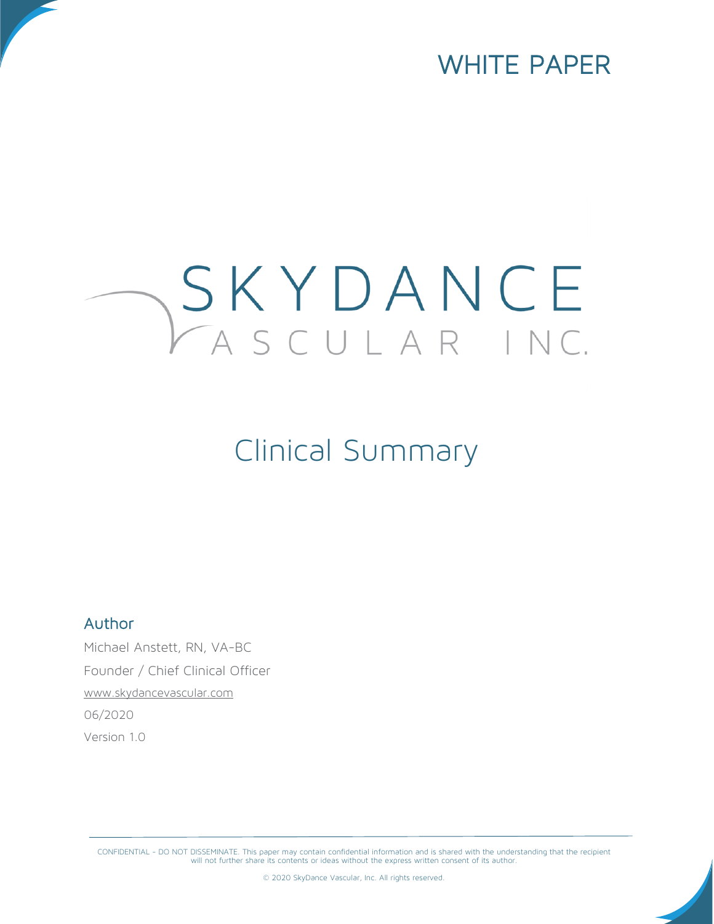

# SKYDANCE

## Clinical Summary

#### Author

Michael Anstett, RN, VA-BC Founder / Chief Clinical Officer [www.skydancevascular.com](http://www.skydancevascular.com/) 06/2020 Version 1.0

CONFIDENTIAL - DO NOT DISSEMINATE. This paper may contain confidential information and is shared with the understanding that the recipient<br>will not further share its contents or ideas without the express written consent of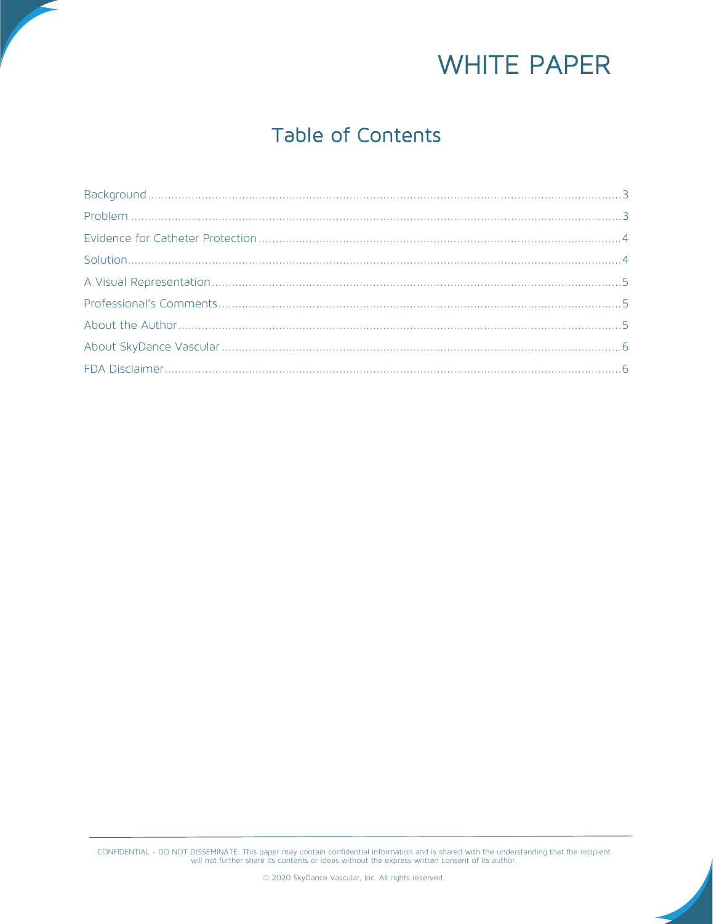

### Table of Contents

CONFIDENTIAL - DO NOT DISSEMINATE. This paper may contain confidential information and is shared with the understanding that the recipient will not further share its contents or ideas without the express written consent of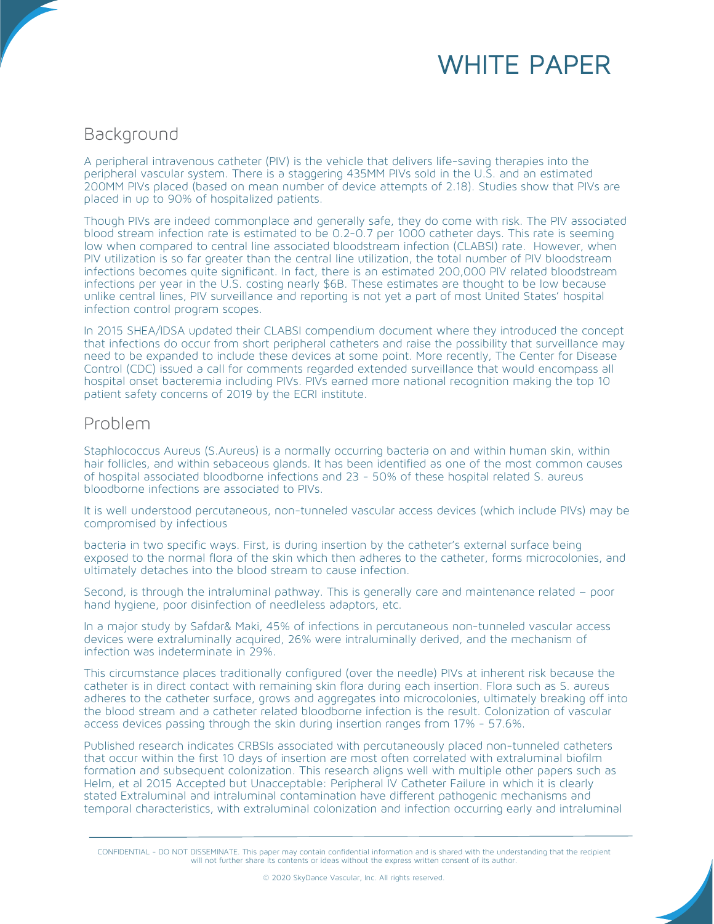

#### <span id="page-2-0"></span>Background

A peripheral intravenous catheter (PIV) is the vehicle that delivers life-saving therapies into the peripheral vascular system. There is a staggering 435MM PIVs sold in the U.S. and an estimated 200MM PIVs placed (based on mean number of device attempts of 2.18). Studies show that PIVs are placed in up to 90% of hospitalized patients.

Though PIVs are indeed commonplace and generally safe, they do come with risk. The PIV associated blood stream infection rate is estimated to be 0.2-0.7 per 1000 catheter days. This rate is seeming low when compared to central line associated bloodstream infection (CLABSI) rate. However, when PIV utilization is so far greater than the central line utilization, the total number of PIV bloodstream infections becomes quite significant. In fact, there is an estimated 200,000 PIV related bloodstream infections per year in the U.S. costing nearly \$6B. These estimates are thought to be low because unlike central lines, PIV surveillance and reporting is not yet a part of most United States' hospital infection control program scopes.

In 2015 SHEA/IDSA updated their CLABSI compendium document where they introduced the concept that infections do occur from short peripheral catheters and raise the possibility that surveillance may need to be expanded to include these devices at some point. More recently, The Center for Disease Control (CDC) issued a call for comments regarded extended surveillance that would encompass all hospital onset bacteremia including PIVs. PIVs earned more national recognition making the top 10 patient safety concerns of 2019 by the ECRI institute.

#### <span id="page-2-1"></span>Problem

Staphlococcus Aureus (S.Aureus) is a normally occurring bacteria on and within human skin, within hair follicles, and within sebaceous glands. It has been identified as one of the most common causes of hospital associated bloodborne infections and 23 - 50% of these hospital related S. aureus bloodborne infections are associated to PIVs.

It is well understood percutaneous, non-tunneled vascular access devices (which include PIVs) may be compromised by infectious

bacteria in two specific ways. First, is during insertion by the catheter's external surface being exposed to the normal flora of the skin which then adheres to the catheter, forms microcolonies, and ultimately detaches into the blood stream to cause infection.

Second, is through the intraluminal pathway. This is generally care and maintenance related – poor hand hygiene, poor disinfection of needleless adaptors, etc.

In a major study by Safdar& Maki, 45% of infections in percutaneous non-tunneled vascular access devices were extraluminally acquired, 26% were intraluminally derived, and the mechanism of infection was indeterminate in 29%.

This circumstance places traditionally configured (over the needle) PIVs at inherent risk because the catheter is in direct contact with remaining skin flora during each insertion. Flora such as S. aureus adheres to the catheter surface, grows and aggregates into microcolonies, ultimately breaking off into the blood stream and a catheter related bloodborne infection is the result. Colonization of vascular access devices passing through the skin during insertion ranges from 17% - 57.6%.

Published research indicates CRBSIs associated with percutaneously placed non-tunneled catheters that occur within the first 10 days of insertion are most often correlated with extraluminal biofilm formation and subsequent colonization. This research aligns well with multiple other papers such as Helm, et al 2015 Accepted but Unacceptable: Peripheral IV Catheter Failure in which it is clearly stated Extraluminal and intraluminal contamination have different pathogenic mechanisms and temporal characteristics, with extraluminal colonization and infection occurring early and intraluminal

© 2020 SkyDance Vascular, Inc. All rights reserved.

CONFIDENTIAL - DO NOT DISSEMINATE. This paper may contain confidential information and is shared with the understanding that the recipient<br>will not further share its contents or ideas without the express written consent of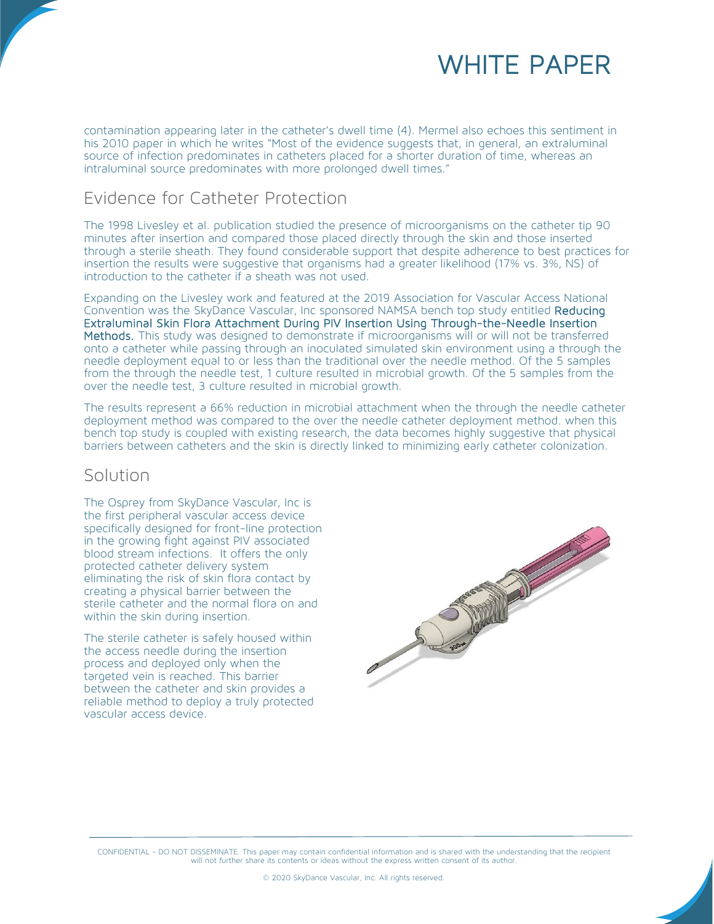

contamination appearing later in the catheter's dwell time (4). Mermel also echoes this sentiment in his 2010 paper in which he writes "Most of the evidence suggests that, in general, an extraluminal source of infection predominates in catheters placed for a shorter duration of time, whereas an intraluminal source predominates with more prolonged dwell times."

#### <span id="page-3-0"></span>Evidence for Catheter Protection

The 1998 Livesley et al. publication studied the presence of microorganisms on the catheter tip 90 minutes after insertion and compared those placed directly through the skin and those inserted through a sterile sheath. They found considerable support that despite adherence to best practices for insertion the results were suggestive that organisms had a greater likelihood (17% vs. 3%, NS) of introduction to the catheter if a sheath was not used.

Expanding on the Livesley work and featured at the 2019 Association for Vascular Access National Convention was the SkyDance Vascular, Inc sponsored NAMSA bench top study entitled Reducing Extraluminal Skin Flora Attachment During PIV Insertion Using Through-the-Needle Insertion Methods. This study was designed to demonstrate if microorganisms will or will not be transferred onto a catheter while passing through an inoculated simulated skin environment using a through the needle deployment equal to or less than the traditional over the needle method. Of the 5 samples from the through the needle test, 1 culture resulted in microbial growth. Of the 5 samples from the over the needle test, 3 culture resulted in microbial growth.

The results represent a 66% reduction in microbial attachment when the through the needle catheter deployment method was compared to the over the needle catheter deployment method. when this bench top study is coupled with existing research, the data becomes highly suggestive that physical barriers between catheters and the skin is directly linked to minimizing early catheter colonization.

#### <span id="page-3-1"></span>Solution

The Osprey from SkyDance Vascular, Inc is the first peripheral vascular access device specifically designed for front-line protection in the growing fight against PIV associated blood stream infections. It offers the only protected catheter delivery system eliminating the risk of skin flora contact by creating a physical barrier between the sterile catheter and the normal flora on and within the skin during insertion.

The sterile catheter is safely housed within the access needle during the insertion process and deployed only when the targeted vein is reached. This barrier between the catheter and skin provides a reliable method to deploy a truly protected vascular access device.



CONFIDENTIAL - DO NOT DISSEMINATE. This paper may contain confidential information and is shared with the understanding that the recipient<br>will not further share its contents or ideas without the express written consent of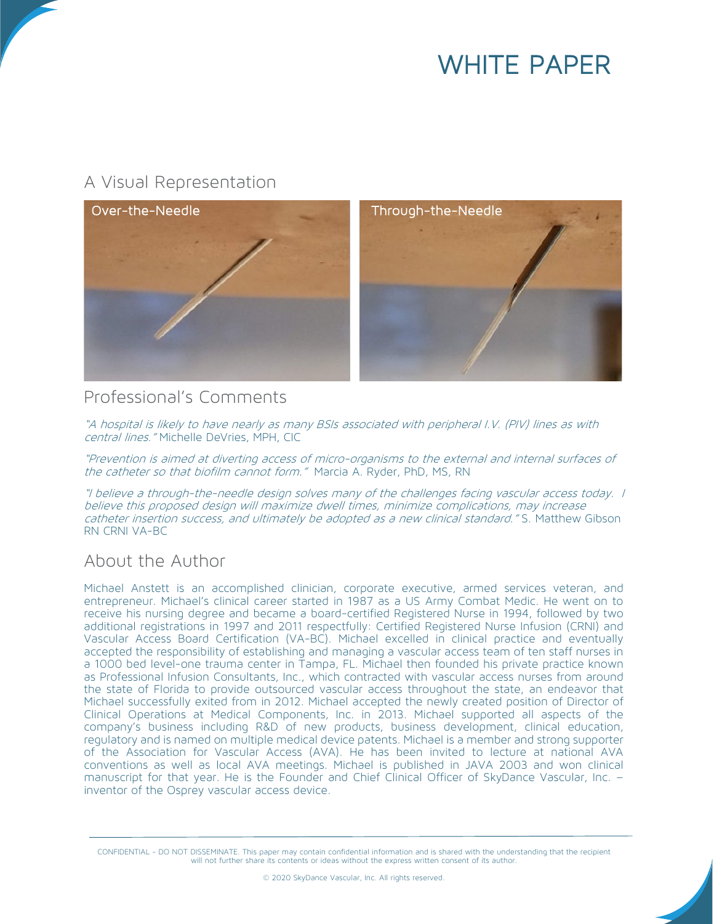## WHITE PAPER

#### <span id="page-4-0"></span>A Visual Representation



#### <span id="page-4-1"></span>Professional's Comments

"A hospital is likely to have nearly as many BSIs associated with peripheral I.V. (PIV) lines as with central lines." Michelle DeVries, MPH, CIC

"Prevention is aimed at diverting access of micro-organisms to the external and internal surfaces of the catheter so that biofilm cannot form." Marcia A. Ryder, PhD, MS, RN

"I believe a through-the-needle design solves many of the challenges facing vascular access today. I believe this proposed design will maximize dwell times, minimize complications, may increase catheter insertion success, and ultimately be adopted as a new clinical standard." S. Matthew Gibson RN CRNI VA-BC

#### <span id="page-4-2"></span>About the Author

Michael Anstett is an accomplished clinician, corporate executive, armed services veteran, and entrepreneur. Michael's clinical career started in 1987 as a US Army Combat Medic. He went on to receive his nursing degree and became a board-certified Registered Nurse in 1994, followed by two additional registrations in 1997 and 2011 respectfully: Certified Registered Nurse Infusion (CRNI) and Vascular Access Board Certification (VA-BC). Michael excelled in clinical practice and eventually accepted the responsibility of establishing and managing a vascular access team of ten staff nurses in a 1000 bed level-one trauma center in Tampa, FL. Michael then founded his private practice known as Professional Infusion Consultants, Inc., which contracted with vascular access nurses from around the state of Florida to provide outsourced vascular access throughout the state, an endeavor that Michael successfully exited from in 2012. Michael accepted the newly created position of Director of Clinical Operations at Medical Components, Inc. in 2013. Michael supported all aspects of the company's business including R&D of new products, business development, clinical education, regulatory and is named on multiple medical device patents. Michael is a member and strong supporter of the Association for Vascular Access (AVA). He has been invited to lecture at national AVA conventions as well as local AVA meetings. Michael is published in JAVA 2003 and won clinical manuscript for that year. He is the Founder and Chief Clinical Officer of SkyDance Vascular, Inc. – inventor of the Osprey vascular access device.

CONFIDENTIAL - DO NOT DISSEMINATE. This paper may contain confidential information and is shared with the understanding that the recipient<br>will not further share its contents or ideas without the express written consent of